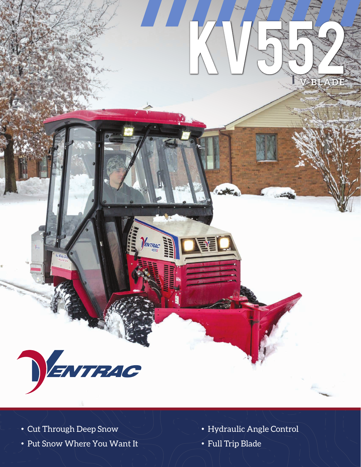

- 
- Put Snow Where You Want It  $\qquad \qquad \bullet$  Full Trip Blade
- Cut Through Deep Snow Hydraulic Angle Control
	-